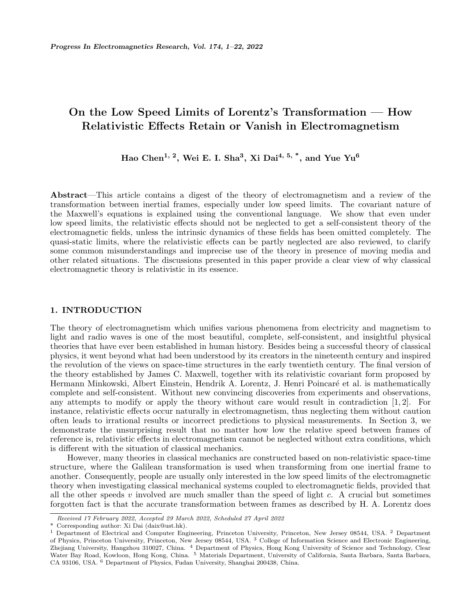# On the Low Speed Limits of Lorentz's Transformation — How Relativistic Effects Retain or Vanish in Electromagnetism

Hao Chen<sup>1, 2</sup>, Wei E. I. Sha<sup>3</sup>, Xi Dai<sup>4, 5,</sup>  $^*$ , and Yue Yu<sup>6</sup>

Abstract—This article contains a digest of the theory of electromagnetism and a review of the transformation between inertial frames, especially under low speed limits. The covariant nature of the Maxwell's equations is explained using the conventional language. We show that even under low speed limits, the relativistic effects should not be neglected to get a self-consistent theory of the electromagnetic fields, unless the intrinsic dynamics of these fields has been omitted completely. The quasi-static limits, where the relativistic effects can be partly neglected are also reviewed, to clarify some common misunderstandings and imprecise use of the theory in presence of moving media and other related situations. The discussions presented in this paper provide a clear view of why classical electromagnetic theory is relativistic in its essence.

# 1. INTRODUCTION

The theory of electromagnetism which unifies various phenomena from electricity and magnetism to light and radio waves is one of the most beautiful, complete, self-consistent, and insightful physical theories that have ever been established in human history. Besides being a successful theory of classical physics, it went beyond what had been understood by its creators in the nineteenth century and inspired the revolution of the views on space-time structures in the early twentieth century. The final version of the theory established by James C. Maxwell, together with its relativistic covariant form proposed by Hermann Minkowski, Albert Einstein, Hendrik A. Lorentz, J. Henri Poincaré et al. is mathematically complete and self-consistent. Without new convincing discoveries from experiments and observations, any attempts to modify or apply the theory without care would result in contradiction [1, 2]. For instance, relativistic effects occur naturally in electromagnetism, thus neglecting them without caution often leads to irrational results or incorrect predictions to physical measurements. In Section 3, we demonstrate the unsurprising result that no matter how low the relative speed between frames of reference is, relativistic effects in electromagnetism cannot be neglected without extra conditions, which is different with the situation of classical mechanics.

However, many theories in classical mechanics are constructed based on non-relativistic space-time structure, where the Galilean transformation is used when transforming from one inertial frame to another. Consequently, people are usually only interested in the low speed limits of the electromagnetic theory when investigating classical mechanical systems coupled to electromagnetic fields, provided that all the other speeds  $v$  involved are much smaller than the speed of light  $c$ . A crucial but sometimes forgotten fact is that the accurate transformation between frames as described by H. A. Lorentz does

Received 17 February 2022, Accepted 29 March 2022, Scheduled 27 April 2022

Corresponding author: Xi Dai (daix@ust.hk).

 $1$  Department of Electrical and Computer Engineering, Princeton University, Princeton, New Jersey 08544, USA.  $2$  Department of Physics, Princeton University, Princeton, New Jersey 08544, USA. <sup>3</sup> College of Information Science and Electronic Engineering, Zhejiang University, Hangzhou 310027, China. <sup>4</sup> Department of Physics, Hong Kong University of Science and Technology, Clear Water Bay Road, Kowloon, Hong Kong, China. <sup>5</sup> Materials Department, University of California, Santa Barbara, Santa Barbara, CA 93106, USA. <sup>6</sup> Department of Physics, Fudan University, Shanghai 200438, China.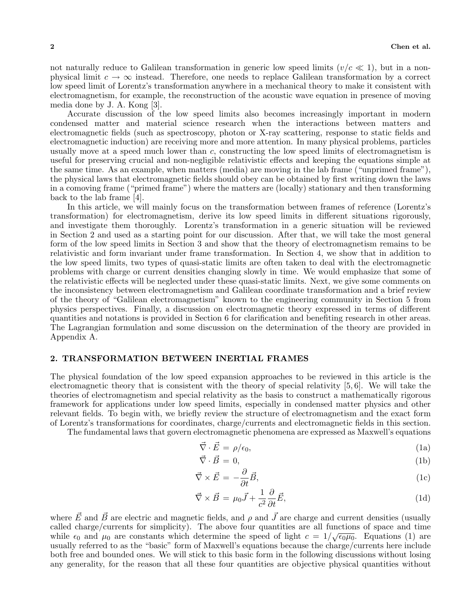not naturally reduce to Galilean transformation in generic low speed limits  $(v/c \ll 1)$ , but in a nonphysical limit  $c \to \infty$  instead. Therefore, one needs to replace Galilean transformation by a correct low speed limit of Lorentz's transformation anywhere in a mechanical theory to make it consistent with electromagnetism, for example, the reconstruction of the acoustic wave equation in presence of moving media done by J. A. Kong [3].

Accurate discussion of the low speed limits also becomes increasingly important in modern condensed matter and material science research when the interactions between matters and electromagnetic fields (such as spectroscopy, photon or X-ray scattering, response to static fields and electromagnetic induction) are receiving more and more attention. In many physical problems, particles usually move at a speed much lower than c, constructing the low speed limits of electromagnetism is useful for preserving crucial and non-negligible relativistic effects and keeping the equations simple at the same time. As an example, when matters (media) are moving in the lab frame ("unprimed frame"), the physical laws that electromagnetic fields should obey can be obtained by first writing down the laws in a comoving frame ("primed frame") where the matters are (locally) stationary and then transforming back to the lab frame [4].

In this article, we will mainly focus on the transformation between frames of reference (Lorentz's transformation) for electromagnetism, derive its low speed limits in different situations rigorously, and investigate them thoroughly. Lorentz's transformation in a generic situation will be reviewed in Section 2 and used as a starting point for our discussion. After that, we will take the most general form of the low speed limits in Section 3 and show that the theory of electromagnetism remains to be relativistic and form invariant under frame transformation. In Section 4, we show that in addition to the low speed limits, two types of quasi-static limits are often taken to deal with the electromagnetic problems with charge or current densities changing slowly in time. We would emphasize that some of the relativistic effects will be neglected under these quasi-static limits. Next, we give some comments on the inconsistency between electromagnetism and Galilean coordinate transformation and a brief review of the theory of "Galilean electromagnetism" known to the engineering community in Section 5 from physics perspectives. Finally, a discussion on electromagnetic theory expressed in terms of different quantities and notations is provided in Section 6 for clarification and benefiting research in other areas. The Lagrangian formulation and some discussion on the determination of the theory are provided in Appendix A.

# 2. TRANSFORMATION BETWEEN INERTIAL FRAMES

The physical foundation of the low speed expansion approaches to be reviewed in this article is the electromagnetic theory that is consistent with the theory of special relativity [5, 6]. We will take the theories of electromagnetism and special relativity as the basis to construct a mathematically rigorous framework for applications under low speed limits, especially in condensed matter physics and other relevant fields. To begin with, we briefly review the structure of electromagnetism and the exact form of Lorentz's transformations for coordinates, charge/currents and electromagnetic fields in this section.

The fundamental laws that govern electromagnetic phenomena are expressed as Maxwell's equations

$$
\vec{\nabla} \cdot \vec{E} = \rho/\epsilon_0,\tag{1a}
$$

$$
\vec{\nabla} \cdot \vec{B} = 0,\tag{1b}
$$

$$
\vec{\nabla} \times \vec{E} = -\frac{\partial}{\partial t} \vec{B},\tag{1c}
$$

$$
\vec{\nabla} \times \vec{B} = \mu_0 \vec{J} + \frac{1}{c^2} \frac{\partial}{\partial t} \vec{E},\tag{1d}
$$

where  $\vec{E}$  and  $\vec{B}$  are electric and magnetic fields, and  $\rho$  and  $\vec{J}$  are charge and current densities (usually called charge/currents for simplicity). The above four quantities are all functions of space and time called charge/currents for simplicity). The above four quantities are all functions of space and time<br>while  $\epsilon_0$  and  $\mu_0$  are constants which determine the speed of light  $c = 1/\sqrt{\epsilon_0\mu_0}$ . Equations (1) are usually referred to as the "basic" form of Maxwell's equations because the charge/currents here include both free and bounded ones. We will stick to this basic form in the following discussions without losing any generality, for the reason that all these four quantities are objective physical quantities without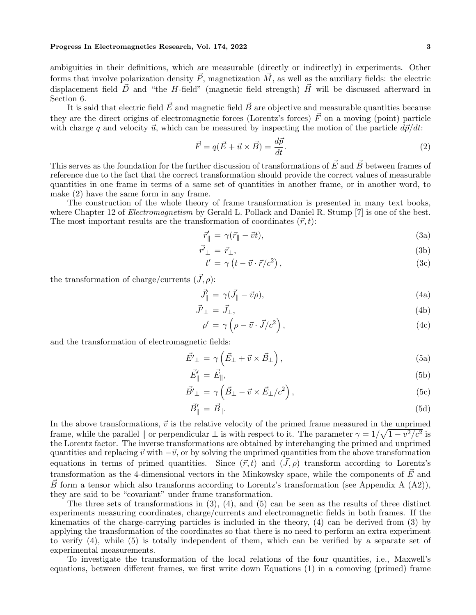ambiguities in their definitions, which are measurable (directly or indirectly) in experiments. Other forms that involve polarization density  $\vec{P}$ , magnetization  $\vec{M}$ , as well as the auxiliary fields: the electric displacement field  $\vec{D}$  and "the H-field" (magnetic field strength)  $\vec{H}$  will be discussed afterward in Section 6.

It is said that electric field  $\vec{E}$  and magnetic field  $\vec{B}$  are objective and measurable quantities because they are the direct origins of electromagnetic forces (Lorentz's forces)  $\vec{F}$  on a moving (point) particle with charge q and velocity  $\vec{u}$ , which can be measured by inspecting the motion of the particle  $d\vec{p}/dt$ :

$$
\vec{F} = q(\vec{E} + \vec{u} \times \vec{B}) = \frac{d\vec{p}}{dt}.
$$
\n(2)

This serves as the foundation for the further discussion of transformations of  $\vec{E}$  and  $\vec{B}$  between frames of reference due to the fact that the correct transformation should provide the correct values of measurable quantities in one frame in terms of a same set of quantities in another frame, or in another word, to make (2) have the same form in any frame.

The construction of the whole theory of frame transformation is presented in many text books, where Chapter 12 of *Electromagnetism* by Gerald L. Pollack and Daniel R. Stump [7] is one of the best. The most important results are the transformation of coordinates  $(\vec{r}, t)$ :

 $\overline{r}$ 

$$
\vec{r}'_{\parallel} = \gamma(\vec{r}_{\parallel} - \vec{v}t),\tag{3a}
$$

$$
\vec{r}_{\perp} = \vec{r}_{\perp},\tag{3b}
$$

$$
t' = \gamma \left( t - \vec{v} \cdot \vec{r} / c^2 \right), \tag{3c}
$$

the transformation of charge/currents  $(\vec{J}, \rho)$ :

$$
\vec{J}_{\parallel}^{\prime} = \gamma(\vec{J}_{\parallel} - \vec{v}\rho),\tag{4a}
$$

$$
\vec{J'}_{\perp} = \vec{J}_{\perp},\tag{4b}
$$

$$
\rho' = \gamma \left( \rho - \vec{v} \cdot \vec{J}/c^2 \right),\tag{4c}
$$

and the transformation of electromagnetic fields:

$$
\vec{E'}_{\perp} = \gamma \left( \vec{E}_{\perp} + \vec{v} \times \vec{B}_{\perp} \right), \tag{5a}
$$

$$
\vec{E}'_{\parallel} = \vec{E}_{\parallel},\tag{5b}
$$

$$
\vec{B'}_{\perp} = \gamma \left( \vec{B}_{\perp} - \vec{v} \times \vec{E}_{\perp} / c^2 \right), \tag{5c}
$$

$$
\vec{B}'_{\parallel} = \vec{B}_{\parallel}. \tag{5d}
$$

In the above transformations,  $\vec{v}$  is the relative velocity of the primed frame measured in the unprimed frame, while the parallel  $\parallel$  or perpendicular  $\perp$  is with respect to it. The parameter  $\gamma = 1/\sqrt{1 - v^2/c^2}$  is the Lorentz factor. The inverse transformations are obtained by interchanging the primed and unprimed quantities and replacing  $\vec{v}$  with  $-\vec{v}$ , or by solving the unprimed quantities from the above transformation equations in terms of primed quantities. Since  $(\vec{r}, t)$  and  $(\vec{J}, \rho)$  transform according to Lorentz's transformation as the 4-dimensional vectors in the Minkowsky space, while the components of  $\vec{E}$  and B form a tensor which also transforms according to Lorentz's transformation (see Appendix A  $(A2)$ ), they are said to be "covariant" under frame transformation.

The three sets of transformations in  $(3)$ ,  $(4)$ , and  $(5)$  can be seen as the results of three distinct experiments measuring coordinates, charge/currents and electromagnetic fields in both frames. If the kinematics of the charge-carrying particles is included in the theory, (4) can be derived from (3) by applying the transformation of the coordinates so that there is no need to perform an extra experiment to verify (4), while (5) is totally independent of them, which can be verified by a separate set of experimental measurements.

To investigate the transformation of the local relations of the four quantities, i.e., Maxwell's equations, between different frames, we first write down Equations (1) in a comoving (primed) frame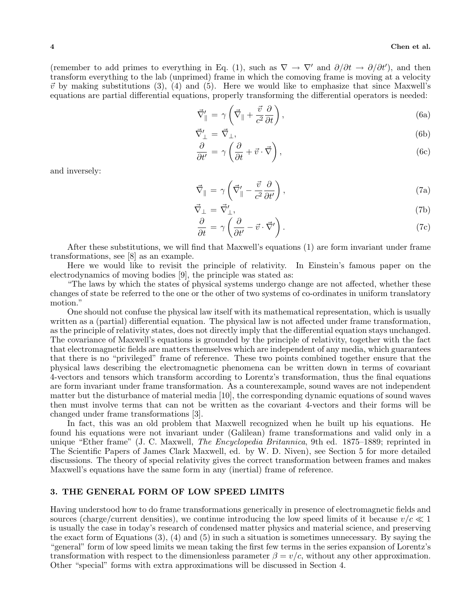(remember to add primes to everything in Eq. (1), such as  $\nabla \to \nabla'$  and  $\partial/\partial t \to \partial/\partial t'$ ), and then transform everything to the lab (unprimed) frame in which the comoving frame is moving at a velocity  $\vec{v}$  by making substitutions (3), (4) and (5). Here we would like to emphasize that since Maxwell's equations are partial differential equations, properly transforming the differential operators is needed:

$$
\vec{\nabla}'_{\parallel} = \gamma \left( \vec{\nabla}_{\parallel} + \frac{\vec{v}}{c^2} \frac{\partial}{\partial t} \right), \tag{6a}
$$

$$
\vec{\nabla}'_{\perp} = \vec{\nabla}_{\perp},\tag{6b}
$$

$$
\frac{\partial}{\partial t'} = \gamma \left( \frac{\partial}{\partial t} + \vec{v} \cdot \vec{\nabla} \right),\tag{6c}
$$

and inversely:

$$
\vec{\nabla}_{\parallel} = \gamma \left( \vec{\nabla}_{\parallel}' - \frac{\vec{v}}{c^2} \frac{\partial}{\partial t'} \right),\tag{7a}
$$

$$
\vec{\nabla}_{\perp} = \vec{\nabla}'_{\perp},\tag{7b}
$$

$$
\frac{\partial}{\partial t} = \gamma \left( \frac{\partial}{\partial t'} - \vec{v} \cdot \vec{\nabla'} \right). \tag{7c}
$$

After these substitutions, we will find that Maxwell's equations (1) are form invariant under frame transformations, see [8] as an example.

Here we would like to revisit the principle of relativity. In Einstein's famous paper on the electrodynamics of moving bodies [9], the principle was stated as:

"The laws by which the states of physical systems undergo change are not affected, whether these changes of state be referred to the one or the other of two systems of co-ordinates in uniform translatory motion."

One should not confuse the physical law itself with its mathematical representation, which is usually written as a (partial) differential equation. The physical law is not affected under frame transformation, as the principle of relativity states, does not directly imply that the differential equation stays unchanged. The covariance of Maxwell's equations is grounded by the principle of relativity, together with the fact that electromagnetic fields are matters themselves which are independent of any media, which guarantees that there is no "privileged" frame of reference. These two points combined together ensure that the physical laws describing the electromagnetic phenomena can be written down in terms of covariant 4-vectors and tensors which transform according to Lorentz's transformation, thus the final equations are form invariant under frame transformation. As a counterexample, sound waves are not independent matter but the disturbance of material media [10], the corresponding dynamic equations of sound waves then must involve terms that can not be written as the covariant 4-vectors and their forms will be changed under frame transformations [3].

In fact, this was an old problem that Maxwell recognized when he built up his equations. He found his equations were not invariant under (Galilean) frame transformations and valid only in a unique "Ether frame" (J. C. Maxwell, *The Encyclopedia Britannica*, 9th ed. 1875–1889; reprinted in The Scientific Papers of James Clark Maxwell, ed. by W. D. Niven), see Section 5 for more detailed discussions. The theory of special relativity gives the correct transformation between frames and makes Maxwell's equations have the same form in any (inertial) frame of reference.

# 3. THE GENERAL FORM OF LOW SPEED LIMITS

Having understood how to do frame transformations generically in presence of electromagnetic fields and sources (charge/current densities), we continue introducing the low speed limits of it because  $v/c \ll 1$ is usually the case in today's research of condensed matter physics and material science, and preserving the exact form of Equations (3), (4) and (5) in such a situation is sometimes unnecessary. By saying the "general" form of low speed limits we mean taking the first few terms in the series expansion of Lorentz's transformation with respect to the dimensionless parameter  $\beta = v/c$ , without any other approximation. Other "special" forms with extra approximations will be discussed in Section 4.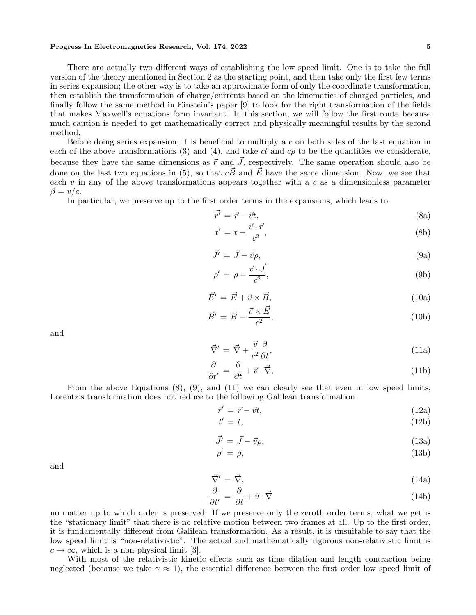There are actually two different ways of establishing the low speed limit. One is to take the full version of the theory mentioned in Section 2 as the starting point, and then take only the first few terms in series expansion; the other way is to take an approximate form of only the coordinate transformation, then establish the transformation of charge/currents based on the kinematics of charged particles, and finally follow the same method in Einstein's paper [9] to look for the right transformation of the fields that makes Maxwell's equations form invariant. In this section, we will follow the first route because much caution is needed to get mathematically correct and physically meaningful results by the second method.

Before doing series expansion, it is beneficial to multiply a  $c$  on both sides of the last equation in each of the above transformations  $(3)$  and  $(4)$ , and take ct and c $\rho$  to be the quantities we considerate, because they have the same dimensions as  $\vec{r}$  and  $\vec{J}$ , respectively. The same operation should also be done on the last two equations in (5), so that  $c\vec{B}$  and  $\vec{E}$  have the same dimension. Now, we see that each  $v$  in any of the above transformations appears together with a c as a dimensionless parameter  $\beta = v/c$ .

In particular, we preserve up to the first order terms in the expansions, which leads to

$$
\vec{r'} = \vec{r} - \vec{v}t,\tag{8a}
$$

$$
t' = t - \frac{\vec{v} \cdot \vec{r}}{c^2},\tag{8b}
$$

$$
\vec{J'} = \vec{J} - \vec{v}\rho,\tag{9a}
$$

$$
\rho' = \rho - \frac{\vec{v} \cdot \vec{J}}{c^2},\tag{9b}
$$

$$
\vec{E'} = \vec{E} + \vec{v} \times \vec{B},\tag{10a}
$$

$$
\vec{B'} = \vec{B} - \frac{\vec{v} \times \vec{E}}{c^2},\tag{10b}
$$

and

$$
\vec{\nabla}' = \vec{\nabla} + \frac{\vec{v}}{c^2} \frac{\partial}{\partial t},\tag{11a}
$$

$$
\frac{\partial}{\partial t'} = \frac{\partial}{\partial t} + \vec{v} \cdot \vec{\nabla},\tag{11b}
$$

From the above Equations (8), (9), and (11) we can clearly see that even in low speed limits, Lorentz's transformation does not reduce to the following Galilean transformation

ρ

$$
\vec{r}' = \vec{r} - \vec{v}t,\tag{12a}
$$

$$
t' = t,\tag{12b}
$$

$$
\vec{J}' = \vec{J} - \vec{v}\rho,\tag{13a}
$$

$$
^{\prime }=\rho ,\tag{13b}
$$

and

$$
\vec{\nabla}' = \vec{\nabla},\tag{14a}
$$

$$
\frac{\partial}{\partial t'} = \frac{\partial}{\partial t} + \vec{v} \cdot \vec{\nabla}
$$
\n(14b)

no matter up to which order is preserved. If we preserve only the zeroth order terms, what we get is the "stationary limit" that there is no relative motion between two frames at all. Up to the first order, it is fundamentally different from Galilean transformation. As a result, it is unsuitable to say that the low speed limit is "non-relativistic". The actual and mathematically rigorous non-relativistic limit is  $c \to \infty$ , which is a non-physical limit [3].

With most of the relativistic kinetic effects such as time dilation and length contraction being neglected (because we take  $\gamma \approx 1$ ), the essential difference between the first order low speed limit of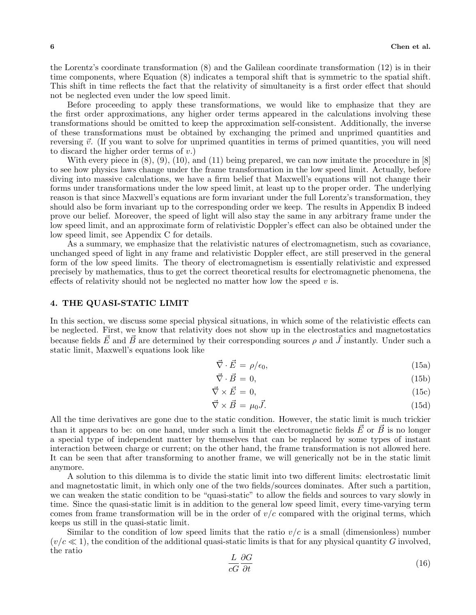the Lorentz's coordinate transformation (8) and the Galilean coordinate transformation (12) is in their time components, where Equation (8) indicates a temporal shift that is symmetric to the spatial shift. This shift in time reflects the fact that the relativity of simultaneity is a first order effect that should not be neglected even under the low speed limit.

Before proceeding to apply these transformations, we would like to emphasize that they are the first order approximations, any higher order terms appeared in the calculations involving these transformations should be omitted to keep the approximation self-consistent. Additionally, the inverse of these transformations must be obtained by exchanging the primed and unprimed quantities and reversing  $\vec{v}$ . (If you want to solve for unprimed quantities in terms of primed quantities, you will need to discard the higher order terms of  $v$ .)

With every piece in  $(8)$ ,  $(9)$ ,  $(10)$ , and  $(11)$  being prepared, we can now imitate the procedure in  $[8]$ to see how physics laws change under the frame transformation in the low speed limit. Actually, before diving into massive calculations, we have a firm belief that Maxwell's equations will not change their forms under transformations under the low speed limit, at least up to the proper order. The underlying reason is that since Maxwell's equations are form invariant under the full Lorentz's transformation, they should also be form invariant up to the corresponding order we keep. The results in Appendix B indeed prove our belief. Moreover, the speed of light will also stay the same in any arbitrary frame under the low speed limit, and an approximate form of relativistic Doppler's effect can also be obtained under the low speed limit, see Appendix C for details.

As a summary, we emphasize that the relativistic natures of electromagnetism, such as covariance, unchanged speed of light in any frame and relativistic Doppler effect, are still preserved in the general form of the low speed limits. The theory of electromagnetism is essentially relativistic and expressed precisely by mathematics, thus to get the correct theoretical results for electromagnetic phenomena, the effects of relativity should not be neglected no matter how low the speed  $v$  is.

# 4. THE QUASI-STATIC LIMIT

In this section, we discuss some special physical situations, in which some of the relativistic effects can be neglected. First, we know that relativity does not show up in the electrostatics and magnetostatics because fields E\* and B\* are determined by their corresponding sources  $\rho$  and  $\vec{J}$  instantly. Under such a static limit, Maxwell's equations look like

$$
\vec{\nabla} \cdot \vec{E} = \rho/\epsilon_0,\tag{15a}
$$

$$
\vec{\nabla} \cdot \vec{B} = 0,\tag{15b}
$$

$$
\vec{\nabla} \times \vec{E} = 0,\tag{15c}
$$

$$
\vec{\nabla} \times \vec{B} = \mu_0 \vec{J}.
$$
 (15d)

All the time derivatives are gone due to the static condition. However, the static limit is much trickier than it appears to be: on one hand, under such a limit the electromagnetic fields  $\vec{E}$  or  $\vec{B}$  is no longer a special type of independent matter by themselves that can be replaced by some types of instant interaction between charge or current; on the other hand, the frame transformation is not allowed here. It can be seen that after transforming to another frame, we will generically not be in the static limit anymore.

A solution to this dilemma is to divide the static limit into two different limits: electrostatic limit and magnetostatic limit, in which only one of the two fields/sources dominates. After such a partition, we can weaken the static condition to be "quasi-static" to allow the fields and sources to vary slowly in time. Since the quasi-static limit is in addition to the general low speed limit, every time-varying term comes from frame transformation will be in the order of  $v/c$  compared with the original terms, which keeps us still in the quasi-static limit.

Similar to the condition of low speed limits that the ratio  $v/c$  is a small (dimensionless) number  $(v/c \ll 1)$ , the condition of the additional quasi-static limits is that for any physical quantity G involved, the ratio

$$
\frac{L}{cG} \frac{\partial G}{\partial t} \tag{16}
$$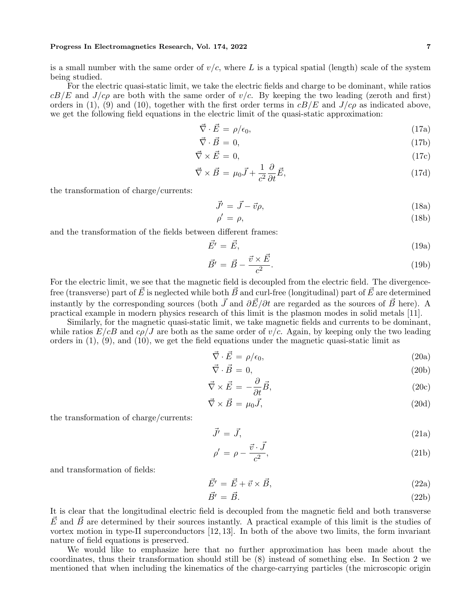is a small number with the same order of  $v/c$ , where L is a typical spatial (length) scale of the system being studied.

For the electric quasi-static limit, we take the electric fields and charge to be dominant, while ratios  $cB/E$  and  $J/c\rho$  are both with the same order of  $v/c$ . By keeping the two leading (zeroth and first) orders in (1), (9) and (10), together with the first order terms in  $cB/E$  and  $J/c\rho$  as indicated above, we get the following field equations in the electric limit of the quasi-static approximation:

$$
\vec{\nabla} \cdot \vec{E} = \rho/\epsilon_0,\tag{17a}
$$

$$
\vec{\nabla} \cdot \vec{B} = 0,\tag{17b}
$$

$$
\vec{\nabla} \times \vec{E} = 0,\tag{17c}
$$

$$
\vec{\nabla} \times \vec{B} = \mu_0 \vec{J} + \frac{1}{c^2} \frac{\partial}{\partial t} \vec{E},\tag{17d}
$$

the transformation of charge/currents:

$$
\vec{J'} = \vec{J} - \vec{v}\rho,\tag{18a}
$$

$$
\rho' = \rho,\tag{18b}
$$

and the transformation of the fields between different frames:

$$
\vec{E'} = \vec{E},\tag{19a}
$$

$$
\vec{B'} = \vec{B} - \frac{\vec{v} \times \vec{E}}{c^2}.
$$
\n(19b)

For the electric limit, we see that the magnetic field is decoupled from the electric field. The divergencefree (transverse) part of  $\vec{E}$  is neglected while both  $\vec{B}$  and curl-free (longitudinal) part of  $\vec{E}$  are determined instantly by the corresponding sources (both  $\vec{J}$  and  $\partial \vec{E}/\partial t$  are regarded as the sources of  $\vec{B}$  here). A practical example in modern physics research of this limit is the plasmon modes in solid metals [11].

Similarly, for the magnetic quasi-static limit, we take magnetic fields and currents to be dominant, while ratios  $E/cB$  and  $c\rho/J$  are both as the same order of  $v/c$ . Again, by keeping only the two leading orders in  $(1)$ ,  $(9)$ , and  $(10)$ , we get the field equations under the magnetic quasi-static limit as

$$
\vec{\nabla} \cdot \vec{E} = \rho/\epsilon_0,\tag{20a}
$$

$$
\vec{\nabla} \cdot \vec{B} = 0,\tag{20b}
$$

$$
\vec{\nabla} \times \vec{E} = -\frac{\partial}{\partial t} \vec{B},\tag{20c}
$$

$$
\vec{\nabla} \times \vec{B} = \mu_0 \vec{J},\tag{20d}
$$

the transformation of charge/currents:

$$
\vec{J}' = \vec{J},\tag{21a}
$$

$$
\rho' = \rho - \frac{\vec{v} \cdot \vec{J}}{c^2},\tag{21b}
$$

and transformation of fields:

$$
\vec{E'} = \vec{E} + \vec{v} \times \vec{B},\tag{22a}
$$

$$
\vec{B'} = \vec{B}.\tag{22b}
$$

It is clear that the longitudinal electric field is decoupled from the magnetic field and both transverse  $\vec{E}$  and  $\vec{B}$  are determined by their sources instantly. A practical example of this limit is the studies of vortex motion in type-II superconductors [12, 13]. In both of the above two limits, the form invariant nature of field equations is preserved.

We would like to emphasize here that no further approximation has been made about the coordinates, thus their transformation should still be (8) instead of something else. In Section 2 we mentioned that when including the kinematics of the charge-carrying particles (the microscopic origin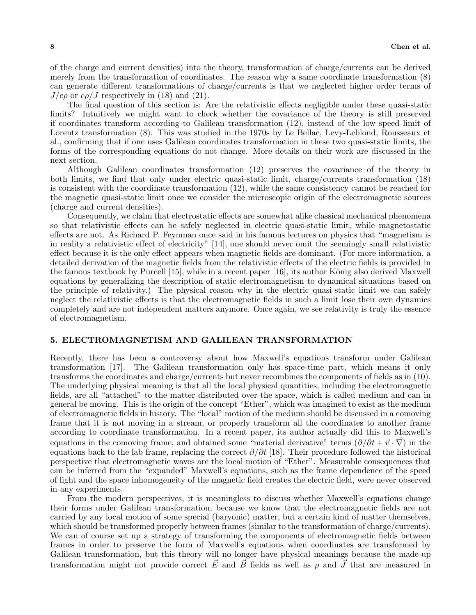of the charge and current densities) into the theory, transformation of charge/currents can be derived merely from the transformation of coordinates. The reason why a same coordinate transformation (8) can generate different transformations of charge/currents is that we neglected higher order terms of  $J/c\rho$  or  $c\rho/J$  respectively in (18) and (21).

The final question of this section is: Are the relativistic effects negligible under these quasi-static limits? Intuitively we might want to check whether the covariance of the theory is still preserved if coordinates transform according to Galilean transformation (12), instead of the low speed limit of Lorentz transformation (8). This was studied in the 1970s by Le Bellac, Levy-Leblond, Rousseaux et al., confirming that if one uses Galilean coordinates transformation in these two quasi-static limits, the forms of the corresponding equations do not change. More details on their work are discussed in the next section.

Although Galilean coordinates transformation (12) preserves the covariance of the theory in both limits, we find that only under electric quasi-static limit, charge/currents transformation (18) is consistent with the coordinate transformation (12), while the same consistency cannot be reached for the magnetic quasi-static limit once we consider the microscopic origin of the electromagnetic sources (charge and current densities).

Consequently, we claim that electrostatic effects are somewhat alike classical mechanical phenomena so that relativistic effects can be safely neglected in electric quasi-static limit, while magnetostatic effects are not. As Richard P. Feynman once said in his famous lectures on physics that "magnetism is in reality a relativistic effect of electricity" [14], one should never omit the seemingly small relativistic effect because it is the only effect appears when magnetic fields are dominant. (For more information, a detailed derivation of the magnetic fields from the relativistic effects of the electric fields is provided in the famous textbook by Purcell  $[15]$ , while in a recent paper  $[16]$ , its author König also derived Maxwell equations by generalizing the description of static electromagnetism to dynamical situations based on the principle of relativity.) The physical reason why in the electric quasi-static limit we can safely neglect the relativistic effects is that the electromagnetic fields in such a limit lose their own dynamics completely and are not independent matters anymore. Once again, we see relativity is truly the essence of electromagnetism.

### 5. ELECTROMAGNETISM AND GALILEAN TRANSFORMATION

Recently, there has been a controversy about how Maxwell's equations transform under Galilean transformation [17]. The Galilean transformation only has space-time part, which means it only transforms the coordinates and charge/currents but never recombines the components of fields as in (10). The underlying physical meaning is that all the local physical quantities, including the electromagnetic fields, are all "attached" to the matter distributed over the space, which is called medium and can in general be moving. This is the origin of the concept "Ether", which was imagined to exist as the medium of electromagnetic fields in history. The "local" motion of the medium should be discussed in a comoving frame that it is not moving in a stream, or properly transform all the coordinates to another frame according to coordinate transformation. In a recent paper, its author actually did this to Maxwell's equations in the comoving frame, and obtained some "material derivative" terms  $(\partial/\partial t + \vec{v} \cdot \nabla)$  in the equations back to the lab frame, replacing the correct  $\partial/\partial t$  [18]. Their procedure followed the historical perspective that electromagnetic waves are the local motion of "Ether". Measurable consequences that can be inferred from the "expanded" Maxwell's equations, such as the frame dependence of the speed of light and the space inhomogeneity of the magnetic field creates the electric field, were never observed in any experiments.

From the modern perspectives, it is meaningless to discuss whether Maxwell's equations change their forms under Galilean transformation, because we know that the electromagnetic fields are not carried by any local motion of some special (baryonic) matter, but a certain kind of matter themselves, which should be transformed properly between frames (similar to the transformation of charge/currents). We can of course set up a strategy of transforming the components of electromagnetic fields between frames in order to preserve the form of Maxwell's equations when coordinates are transformed by Galilean transformation, but this theory will no longer have physical meanings because the made-up transformation might not provide correct  $\vec{E}$  and  $\vec{B}$  fields as well as  $\rho$  and  $\vec{J}$  that are measured in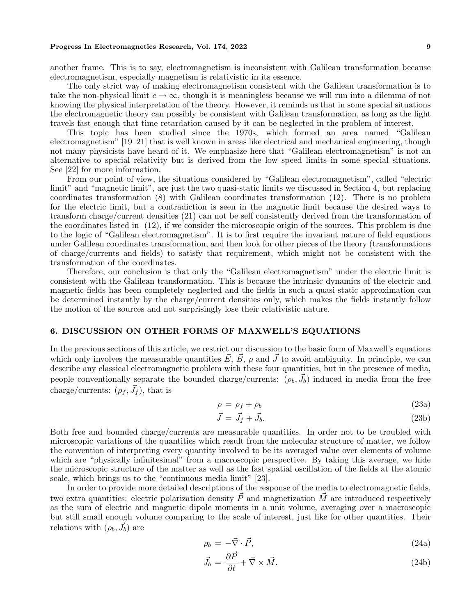another frame. This is to say, electromagnetism is inconsistent with Galilean transformation because electromagnetism, especially magnetism is relativistic in its essence.

The only strict way of making electromagnetism consistent with the Galilean transformation is to take the non-physical limit  $c \to \infty$ , though it is meaningless because we will run into a dilemma of not knowing the physical interpretation of the theory. However, it reminds us that in some special situations the electromagnetic theory can possibly be consistent with Galilean transformation, as long as the light travels fast enough that time retardation caused by it can be neglected in the problem of interest.

This topic has been studied since the 1970s, which formed an area named "Galilean electromagnetism" [19–21] that is well known in areas like electrical and mechanical engineering, though not many physicists have heard of it. We emphasize here that "Galilean electromagnetism" is not an alternative to special relativity but is derived from the low speed limits in some special situations. See [22] for more information.

From our point of view, the situations considered by "Galilean electromagnetism", called "electric limit" and "magnetic limit", are just the two quasi-static limits we discussed in Section 4, but replacing coordinates transformation (8) with Galilean coordinates transformation (12). There is no problem for the electric limit, but a contradiction is seen in the magnetic limit because the desired ways to transform charge/current densities (21) can not be self consistently derived from the transformation of the coordinates listed in (12), if we consider the microscopic origin of the sources. This problem is due to the logic of "Galilean electromagnetism". It is to first require the invariant nature of field equations under Galilean coordinates transformation, and then look for other pieces of the theory (transformations of charge/currents and fields) to satisfy that requirement, which might not be consistent with the transformation of the coordinates.

Therefore, our conclusion is that only the "Galilean electromagnetism" under the electric limit is consistent with the Galilean transformation. This is because the intrinsic dynamics of the electric and magnetic fields has been completely neglected and the fields in such a quasi-static approximation can be determined instantly by the charge/current densities only, which makes the fields instantly follow the motion of the sources and not surprisingly lose their relativistic nature.

# 6. DISCUSSION ON OTHER FORMS OF MAXWELL'S EQUATIONS

In the previous sections of this article, we restrict our discussion to the basic form of Maxwell's equations which only involves the measurable quantities  $\vec{E}$ ,  $\vec{B}$ ,  $\rho$  and  $\vec{J}$  to avoid ambiguity. In principle, we can describe any classical electromagnetic problem with these four quantities, but in the presence of media, people conventionally separate the bounded charge/currents:  $(\rho_b, \vec{J}_b)$  induced in media from the free charge/currents:  $(\rho_f, \vec{J}_f)$ , that is

$$
\rho = \rho_f + \rho_b \tag{23a}
$$

$$
\vec{J} = \vec{J}_f + \vec{J}_b. \tag{23b}
$$

Both free and bounded charge/currents are measurable quantities. In order not to be troubled with microscopic variations of the quantities which result from the molecular structure of matter, we follow the convention of interpreting every quantity involved to be its averaged value over elements of volume which are "physically infinitesimal" from a macroscopic perspective. By taking this average, we hide the microscopic structure of the matter as well as the fast spatial oscillation of the fields at the atomic scale, which brings us to the "continuous media limit" [23].

In order to provide more detailed descriptions of the response of the media to electromagnetic fields, two extra quantities: electric polarization density  $\vec{P}$  and magnetization  $\vec{M}$  are introduced respectively as the sum of electric and magnetic dipole moments in a unit volume, averaging over a macroscopic but still small enough volume comparing to the scale of interest, just like for other quantities. Their relations with  $(\rho_b, \vec{J}_b)$  are

$$
\rho_b = -\vec{\nabla} \cdot \vec{P},\tag{24a}
$$

$$
\vec{J}_b = \frac{\partial \vec{P}}{\partial t} + \vec{\nabla} \times \vec{M}.
$$
\n(24b)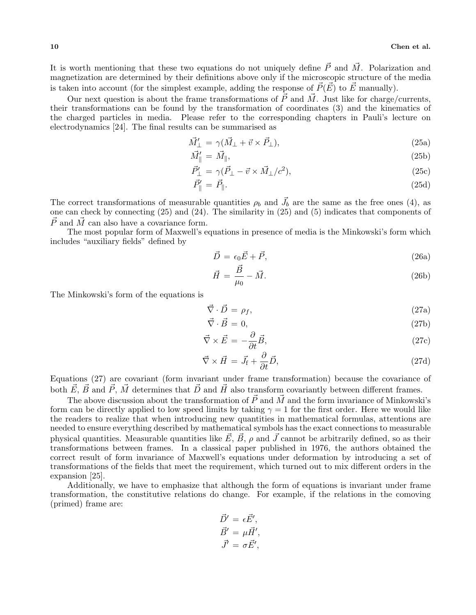It is worth mentioning that these two equations do not uniquely define  $\vec{P}$  and  $\vec{M}$ . Polarization and magnetization are determined by their definitions above only if the microscopic structure of the media is taken into account (for the simplest example, adding the response of  $\vec{P}(\vec{E})$  to  $\vec{E}$  manually).

Our next question is about the frame transformations of  $\vec{P}$  and  $\vec{M}$ . Just like for charge/currents, their transformations can be found by the transformation of coordinates (3) and the kinematics of the charged particles in media. Please refer to the corresponding chapters in Pauli's lecture on electrodynamics [24]. The final results can be summarised as

$$
\vec{M}'_{\perp} = \gamma(\vec{M}_{\perp} + \vec{v} \times \vec{P}_{\perp}),\tag{25a}
$$

$$
\vec{M}_{\parallel}' = \vec{M}_{\parallel},\tag{25b}
$$

$$
\vec{P}'_{\perp} = \gamma(\vec{P}_{\perp} - \vec{v} \times \vec{M}_{\perp}/c^2),\tag{25c}
$$

$$
\vec{P}_{\parallel}' = \vec{P}_{\parallel}. \tag{25d}
$$

The correct transformations of measurable quantities  $\rho_b$  and  $\vec{J}_b$  are the same as the free ones (4), as one can check by connecting (25) and (24). The similarity in (25) and (5) indicates that components of  $\vec{P}$  and  $\vec{M}$  can also have a covariance form.

The most popular form of Maxwell's equations in presence of media is the Minkowski's form which includes "auxiliary fields" defined by

$$
\vec{D} = \epsilon_0 \vec{E} + \vec{P},\tag{26a}
$$

$$
\vec{H} = \frac{\vec{B}}{\mu_0} - \vec{M}.\tag{26b}
$$

The Minkowski's form of the equations is

$$
\vec{\nabla} \cdot \vec{D} = \rho_f,\tag{27a}
$$

$$
\vec{\nabla} \cdot \vec{B} = 0,\tag{27b}
$$

$$
\vec{\nabla} \times \vec{E} = -\frac{\partial}{\partial t} \vec{B},\tag{27c}
$$

$$
\vec{\nabla} \times \vec{H} = \vec{J}_{\rm f} + \frac{\partial}{\partial t} \vec{D},\tag{27d}
$$

Equations (27) are covariant (form invariant under frame transformation) because the covariance of both  $\vec{E}$ ,  $\vec{B}$  and  $\vec{P}$ ,  $\vec{M}$  determines that  $\vec{D}$  and  $\vec{H}$  also transform covariantly between different frames.

The above discussion about the transformation of  $\vec{P}$  and  $\vec{M}$  and the form invariance of Minkowski's form can be directly applied to low speed limits by taking  $\gamma = 1$  for the first order. Here we would like the readers to realize that when introducing new quantities in mathematical formulas, attentions are needed to ensure everything described by mathematical symbols has the exact connections to measurable physical quantities. Measurable quantities like  $\vec{E}, \vec{B}, \rho$  and  $\vec{J}$  cannot be arbitrarily defined, so as their transformations between frames. In a classical paper published in 1976, the authors obtained the correct result of form invariance of Maxwell's equations under deformation by introducing a set of transformations of the fields that meet the requirement, which turned out to mix different orders in the expansion [25].

Additionally, we have to emphasize that although the form of equations is invariant under frame transformation, the constitutive relations do change. For example, if the relations in the comoving (primed) frame are:

$$
\vec{D}' = \epsilon \vec{E}',\n\vec{B}' = \mu \vec{H}',\n\vec{J}' = \sigma \vec{E}',
$$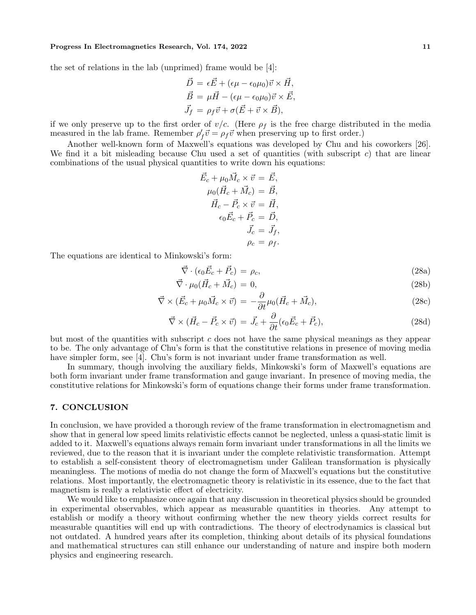the set of relations in the lab (unprimed) frame would be [4]:

$$
\vec{D} = \epsilon \vec{E} + (\epsilon \mu - \epsilon_0 \mu_0) \vec{v} \times \vec{H},
$$
  
\n
$$
\vec{B} = \mu \vec{H} - (\epsilon \mu - \epsilon_0 \mu_0) \vec{v} \times \vec{E},
$$
  
\n
$$
\vec{J}_f = \rho_f \vec{v} + \sigma (\vec{E} + \vec{v} \times \vec{B}),
$$

if we only preserve up to the first order of  $v/c$ . (Here  $\rho_f$  is the free charge distributed in the media measured in the lab frame. Remember  $\rho'_{f} \vec{v} = \rho_{f} \vec{v}$  when preserving up to first order.)

Another well-known form of Maxwell's equations was developed by Chu and his coworkers [26]. We find it a bit misleading because Chu used a set of quantities (with subscript  $c$ ) that are linear combinations of the usual physical quantities to write down his equations:

$$
\vec{E}_c + \mu_0 \vec{M}_c \times \vec{v} = \vec{E},
$$
  
\n
$$
\mu_0 (\vec{H}_c + \vec{M}_c) = \vec{B},
$$
  
\n
$$
\vec{H}_c - \vec{P}_c \times \vec{v} = \vec{H},
$$
  
\n
$$
\epsilon_0 \vec{E}_c + \vec{P}_c = \vec{D},
$$
  
\n
$$
\vec{J}_c = \vec{J}_f,
$$
  
\n
$$
\rho_c = \rho_f.
$$

The equations are identical to Minkowski's form:

$$
\vec{\nabla} \cdot (\epsilon_0 \vec{E}_c + \vec{P}_c) = \rho_c,\tag{28a}
$$

$$
\vec{\nabla} \cdot \mu_0 (\vec{H}_c + \vec{M}_c) = 0,\tag{28b}
$$

$$
\vec{\nabla} \times (\vec{E}_c + \mu_0 \vec{M}_c \times \vec{v}) = -\frac{\partial}{\partial t} \mu_0 (\vec{H}_c + \vec{M}_c), \tag{28c}
$$

$$
\vec{\nabla} \times (\vec{H}_c - \vec{P}_c \times \vec{v}) = \vec{J}_c + \frac{\partial}{\partial t} (\epsilon_0 \vec{E}_c + \vec{P}_c), \tag{28d}
$$

but most of the quantities with subscript c does not have the same physical meanings as they appear to be. The only advantage of Chu's form is that the constitutive relations in presence of moving media have simpler form, see [4]. Chu's form is not invariant under frame transformation as well.

In summary, though involving the auxiliary fields, Minkowski's form of Maxwell's equations are both form invariant under frame transformation and gauge invariant. In presence of moving media, the constitutive relations for Minkowski's form of equations change their forms under frame transformation.

## 7. CONCLUSION

In conclusion, we have provided a thorough review of the frame transformation in electromagnetism and show that in general low speed limits relativistic effects cannot be neglected, unless a quasi-static limit is added to it. Maxwell's equations always remain form invariant under transformations in all the limits we reviewed, due to the reason that it is invariant under the complete relativistic transformation. Attempt to establish a self-consistent theory of electromagnetism under Galilean transformation is physically meaningless. The motions of media do not change the form of Maxwell's equations but the constitutive relations. Most importantly, the electromagnetic theory is relativistic in its essence, due to the fact that magnetism is really a relativistic effect of electricity.

We would like to emphasize once again that any discussion in theoretical physics should be grounded in experimental observables, which appear as measurable quantities in theories. Any attempt to establish or modify a theory without confirming whether the new theory yields correct results for measurable quantities will end up with contradictions. The theory of electrodynamics is classical but not outdated. A hundred years after its completion, thinking about details of its physical foundations and mathematical structures can still enhance our understanding of nature and inspire both modern physics and engineering research.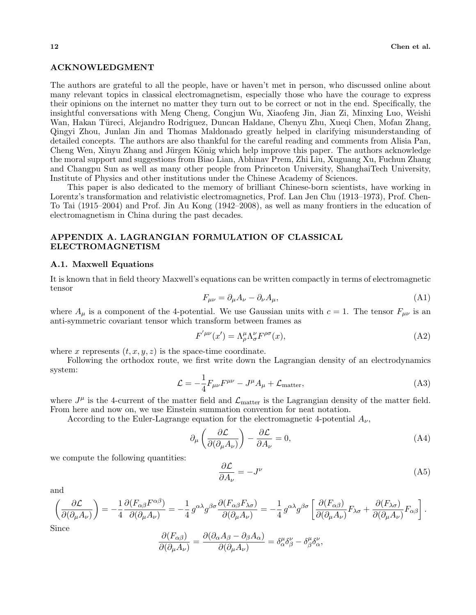### ACKNOWLEDGMENT

The authors are grateful to all the people, have or haven't met in person, who discussed online about many relevant topics in classical electromagnetism, especially those who have the courage to express their opinions on the internet no matter they turn out to be correct or not in the end. Specifically, the insightful conversations with Meng Cheng, Congjun Wu, Xiaofeng Jin, Jian Zi, Minxing Luo, Weishi Wan, Hakan Türeci, Alejandro Rodriguez, Duncan Haldane, Chenyu Zhu, Xueqi Chen, Mofan Zhang, Qingyi Zhou, Junlan Jin and Thomas Maldonado greatly helped in clarifying misunderstanding of detailed concepts. The authors are also thankful for the careful reading and comments from Alisia Pan, Cheng Wen, Xinyu Zhang and Jürgen König which help improve this paper. The authors acknowledge the moral support and suggestions from Biao Lian, Abhinav Prem, Zhi Liu, Xuguang Xu, Fuchun Zhang and Changpu Sun as well as many other people from Princeton University, ShanghaiTech University, Institute of Physics and other institutions under the Chinese Academy of Sciences.

This paper is also dedicated to the memory of brilliant Chinese-born scientists, have working in Lorentz's transformation and relativistic electromagnetics, Prof. Lan Jen Chu (1913–1973), Prof. Chen-To Tai (1915–2004) and Prof. Jin Au Kong (1942–2008), as well as many frontiers in the education of electromagnetism in China during the past decades.

# APPENDIX A. LAGRANGIAN FORMULATION OF CLASSICAL ELECTROMAGNETISM

#### A.1. Maxwell Equations

It is known that in field theory Maxwell's equations can be written compactly in terms of electromagnetic tensor

$$
F_{\mu\nu} = \partial_{\mu}A_{\nu} - \partial_{\nu}A_{\mu},\tag{A1}
$$

where  $A_\mu$  is a component of the 4-potential. We use Gaussian units with  $c = 1$ . The tensor  $F_{\mu\nu}$  is an anti-symmetric covariant tensor which transform between frames as

$$
F^{'\mu\nu}(x') = \Lambda^{\mu}_{\rho} \Lambda^{\nu}_{\sigma} F^{\rho\sigma}(x),\tag{A2}
$$

where x represents  $(t, x, y, z)$  is the space-time coordinate.

Following the orthodox route, we first write down the Lagrangian density of an electrodynamics system:

$$
\mathcal{L} = -\frac{1}{4}F_{\mu\nu}F^{\mu\nu} - J^{\mu}A_{\mu} + \mathcal{L}_{\text{matter}},
$$
\n(A3)

where  $J^{\mu}$  is the 4-current of the matter field and  $\mathcal{L}_{\text{matter}}$  is the Lagrangian density of the matter field. From here and now on, we use Einstein summation convention for neat notation.

According to the Euler-Lagrange equation for the electromagnetic 4-potential  $A_{\nu}$ ,

$$
\partial_{\mu} \left( \frac{\partial \mathcal{L}}{\partial (\partial_{\mu} A_{\nu})} \right) - \frac{\partial \mathcal{L}}{\partial A_{\nu}} = 0,
$$
\n(A4)

we compute the following quantities:

$$
\frac{\partial \mathcal{L}}{\partial A_{\nu}} = -J^{\nu} \tag{A5}
$$

and

$$
\left(\frac{\partial \mathcal{L}}{\partial(\partial_{\mu} A_{\nu})}\right) = -\frac{1}{4} \frac{\partial (F_{\alpha\beta} F^{\alpha\beta})}{\partial(\partial_{\mu} A_{\nu})} = -\frac{1}{4} g^{\alpha\lambda} g^{\beta\sigma} \frac{\partial (F_{\alpha\beta} F_{\lambda\sigma})}{\partial(\partial_{\mu} A_{\nu})} = -\frac{1}{4} g^{\alpha\lambda} g^{\beta\sigma} \left[ \frac{\partial (F_{\alpha\beta})}{\partial(\partial_{\mu} A_{\nu})} F_{\lambda\sigma} + \frac{\partial (F_{\lambda\sigma})}{\partial(\partial_{\mu} A_{\nu})} F_{\alpha\beta} \right].
$$

Since

$$
\frac{\partial (F_{\alpha\beta})}{\partial (\partial_{\mu}A_{\nu})} = \frac{\partial (\partial_{\alpha}A_{\beta} - \partial_{\beta}A_{\alpha})}{\partial (\partial_{\mu}A_{\nu})} = \delta^{\mu}_{\alpha}\delta^{\nu}_{\beta} - \delta^{\mu}_{\beta}\delta^{\nu}_{\alpha},
$$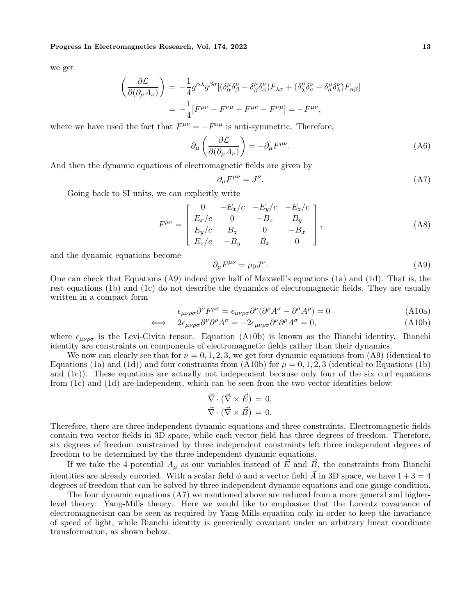we get

$$
\begin{aligned}\n\left(\frac{\partial \mathcal{L}}{\partial(\partial_{\mu} A_{\nu})}\right) &= -\frac{1}{4} g^{\alpha\lambda} g^{\beta\sigma} [(\delta^{\mu}_{\alpha} \delta^{\nu}_{\beta} - \delta^{\mu}_{\beta} \delta^{\nu}_{\alpha}) F_{\lambda\sigma} + (\delta^{\mu}_{\lambda} \delta^{\nu}_{\sigma} - \delta^{\mu}_{\sigma} \delta^{\nu}_{\lambda}) F_{\alpha\beta}] \\
&= -\frac{1}{4} [F^{\mu\nu} - F^{\nu\mu} + F^{\mu\nu} - F^{\nu\mu}] = -F^{\mu\nu},\n\end{aligned}
$$

where we have used the fact that  $F^{\mu\nu} = -F^{\nu\mu}$  is anti-symmetric. Therefore,

$$
\partial_{\mu} \left( \frac{\partial \mathcal{L}}{\partial (\partial_{\mu} A_{\nu})} \right) = -\partial_{\mu} F^{\mu \nu}.
$$
 (A6)

And then the dynamic equations of electromagnetic fields are given by

$$
\partial_{\mu}F^{\mu\nu} = J^{\nu}.\tag{A7}
$$

Going back to SI units, we can explicitly write

$$
F^{\mu\nu} = \begin{bmatrix} 0 & -E_x/c & -E_y/c & -E_z/c \\ E_x/c & 0 & -B_z & B_y \\ E_y/c & B_z & 0 & -B_x \\ E_z/c & -B_y & B_x & 0 \end{bmatrix},
$$
(A8)

and the dynamic equations become

$$
\partial_{\mu}F^{\mu\nu} = \mu_0 J^{\nu}.
$$
 (A9)

One can check that Equations (A9) indeed give half of Maxwell's equations (1a) and (1d). That is, the rest equations (1b) and (1c) do not describe the dynamics of electromagnetic fields. They are usually written in a compact form

$$
\epsilon_{\mu\nu\rho\sigma}\partial^{\nu}F^{\rho\sigma} = \epsilon_{\mu\nu\rho\sigma}\partial^{\nu}(\partial^{\rho}A^{\sigma} - \partial^{\sigma}A^{\rho}) = 0
$$
\n(A10a)

$$
\iff 2\epsilon_{\mu\nu\rho\sigma}\partial^{\nu}\partial^{\rho}A^{\sigma} = -2\epsilon_{\mu\nu\rho\sigma}\partial^{\nu}\partial^{\rho}A^{\sigma} = 0,
$$
\n(A10b)

where  $\epsilon_{\mu\nu\rho\sigma}$  is the Levi-Civita tensor. Equation (A10b) is known as the Bianchi identity. Bianchi identity are constraints on components of electromagnetic fields rather than their dynamics.

We now can clearly see that for  $\nu = 0, 1, 2, 3$ , we get four dynamic equations from (A9) (identical to Equations (1a) and (1d)) and four constraints from (A10b) for  $\mu = 0, 1, 2, 3$  (identical to Equations (1b) and (1c)). These equations are actually not independent because only four of the six curl equations from (1c) and (1d) are independent, which can be seen from the two vector identities below:

$$
\vec{\nabla} \cdot (\vec{\nabla} \times \vec{E}) = 0, \n\vec{\nabla} \cdot (\vec{\nabla} \times \vec{B}) = 0.
$$

Therefore, there are three independent dynamic equations and three constraints. Electromagnetic fields contain two vector fields in 3D space, while each vector field has three degrees of freedom. Therefore, six degrees of freedom constrained by three independent constraints left three independent degrees of freedom to be determined by the three independent dynamic equations.

If we take the 4-potential  $A_{\mu}$  as our variables instead of  $\vec{E}$  and  $\vec{B}$ , the constraints from Bianchi identities are already encoded. With a scalar field  $\phi$  and a vector field A in 3D space, we have  $1 + 3 = 4$ degrees of freedom that can be solved by three independent dynamic equations and one gauge condition.

The four dynamic equations (A7) we mentioned above are reduced from a more general and higherlevel theory: Yang-Mills theory. Here we would like to emphasize that the Lorentz covariance of electromagnetism can be seen as required by Yang-Mills equation only in order to keep the invariance of speed of light, while Bianchi identity is generically covariant under an arbitrary linear coordinate transformation, as shown below.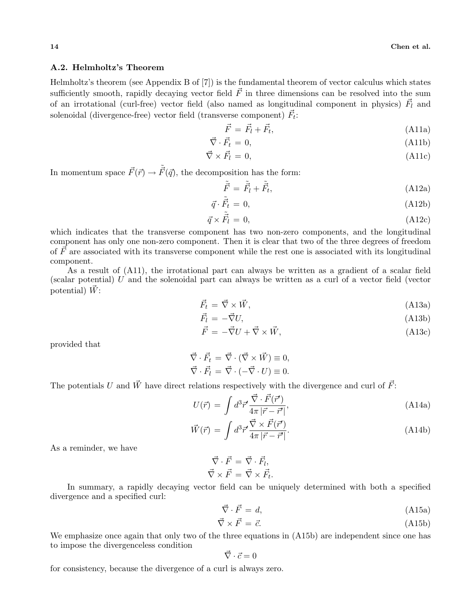# A.2. Helmholtz's Theorem

Helmholtz's theorem (see Appendix B of [7]) is the fundamental theorem of vector calculus which states sufficiently smooth, rapidly decaying vector field  $\vec{F}$  in three dimensions can be resolved into the sum of an irrotational (curl-free) vector field (also named as longitudinal component in physics)  $\vec{F}_l$  and solenoidal (divergence-free) vector field (transverse component)  $\vec{F}_t$ :

$$
\vec{F} = \vec{F}_l + \vec{F}_t,\tag{A11a}
$$

$$
\vec{\nabla} \cdot \vec{F}_t = 0,\tag{A11b}
$$

$$
\vec{\nabla} \times \vec{F}_l = 0,\tag{A11c}
$$

In momentum space  $\vec{F}(\vec{r}) \rightarrow \tilde{\vec{F}}(\vec{q})$ , the decomposition has the form:

$$
\tilde{\vec{F}} = \tilde{\vec{F}}_l + \tilde{\vec{F}}_t,\tag{A12a}
$$

$$
\vec{q} \cdot \tilde{\vec{F}}_t = 0,\tag{A12b}
$$

$$
\vec{q} \times \tilde{\vec{F}}_l = 0,\tag{A12c}
$$

which indicates that the transverse component has two non-zero components, and the longitudinal component has only one non-zero component. Then it is clear that two of the three degrees of freedom of  $\vec{F}$  are associated with its transverse component while the rest one is associated with its longitudinal component.

As a result of (A11), the irrotational part can always be written as a gradient of a scalar field (scalar potential) U and the solenoidal part can always be written as a curl of a vector field (vector potential)  $\vec{W}$ :

$$
\vec{F}_t = \vec{\nabla} \times \vec{W},\tag{A13a}
$$

$$
\vec{F}_l = -\vec{\nabla}U,\tag{A13b}
$$

$$
\vec{F} = -\vec{\nabla}U + \vec{\nabla} \times \vec{W},\tag{A13c}
$$

provided that

$$
\vec{\nabla} \cdot \vec{F}_t = \vec{\nabla} \cdot (\vec{\nabla} \times \vec{W}) \equiv 0, \n\vec{\nabla} \cdot \vec{F}_l = \vec{\nabla} \cdot (-\vec{\nabla} \cdot U) \equiv 0.
$$

The potentials U and  $\vec{W}$  have direct relations respectively with the divergence and curl of  $\vec{F}$ :

$$
U(\vec{r}) = \int d^3 \vec{r}' \frac{\vec{\nabla} \cdot \vec{F}(\vec{r}')}{4\pi |\vec{r} - \vec{r}'|},
$$
\n(A14a)

$$
\vec{W}(\vec{r}) = \int d^3 \vec{r}' \frac{\vec{\nabla} \times \vec{F}(\vec{r}')}{4\pi |\vec{r} - \vec{r}'|}.
$$
\n(A14b)

As a reminder, we have

$$
\vec{\nabla} \cdot \vec{F} = \vec{\nabla} \cdot \vec{F}_l, \n\vec{\nabla} \times \vec{F} = \vec{\nabla} \times \vec{F}_t
$$

.

In summary, a rapidly decaying vector field can be uniquely determined with both a specified divergence and a specified curl:

$$
\vec{\nabla} \cdot \vec{F} = d,\tag{A15a}
$$

$$
\vec{\nabla} \times \vec{F} = \vec{c}.\tag{A15b}
$$

We emphasize once again that only two of the three equations in  $(A15b)$  are independent since one has to impose the divergenceless condition

$$
\vec{\nabla}\cdot\vec{c}=0
$$

for consistency, because the divergence of a curl is always zero.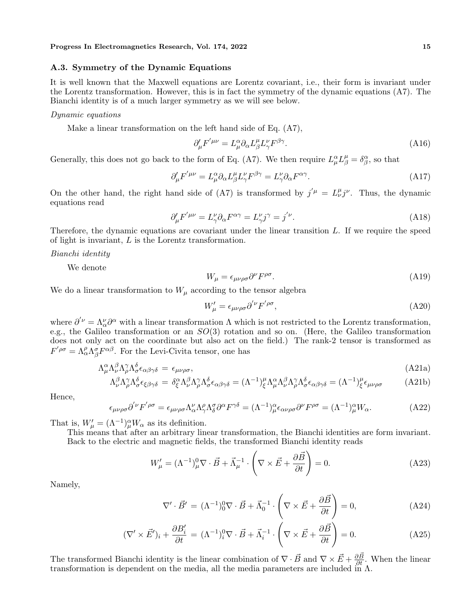### A.3. Symmetry of the Dynamic Equations

It is well known that the Maxwell equations are Lorentz covariant, i.e., their form is invariant under the Lorentz transformation. However, this is in fact the symmetry of the dynamic equations (A7). The Bianchi identity is of a much larger symmetry as we will see below.

#### Dynamic equations

Make a linear transformation on the left hand side of Eq. (A7),

$$
\partial'_{\mu}F^{'\mu\nu} = L^{\alpha}_{\mu}\partial_{\alpha}L^{\mu}_{\beta}L^{\nu}_{\gamma}F^{\beta\gamma}.
$$
\n(A16)

Generally, this does not go back to the form of Eq. (A7). We then require  $L^{\alpha}_{\mu}L^{\mu}_{\beta} = \delta^{\alpha}_{\beta}$ , so that

$$
\partial'_{\mu}F'^{\mu\nu} = L^{\alpha}_{\mu}\partial_{\alpha}L^{\mu}_{\beta}L^{\nu}_{\gamma}F^{\beta\gamma} = L^{\nu}_{\gamma}\partial_{\alpha}F^{\alpha\gamma}.
$$
 (A17)

On the other hand, the right hand side of (A7) is transformed by  $j^{'\mu} = L^{\mu}_{\nu} j^{\nu}$ . Thus, the dynamic equations read

$$
\partial'_{\mu}F^{'\mu\nu} = L^{\nu}_{\gamma}\partial_{\alpha}F^{\alpha\gamma} = L^{\nu}_{\gamma}j^{\gamma} = j^{'\nu}.
$$
\n(A18)

Therefore, the dynamic equations are covariant under the linear transition L. If we require the speed of light is invariant, L is the Lorentz transformation.

#### Bianchi identity

We denote

$$
W_{\mu} = \epsilon_{\mu\nu\rho\sigma} \partial^{\nu} F^{\rho\sigma}.
$$
 (A19)

We do a linear transformation to  $W_{\mu}$  according to the tensor algebra

$$
W'_{\mu} = \epsilon_{\mu\nu\rho\sigma} \partial^{'\nu} F^{'\rho\sigma}, \tag{A20}
$$

where  $\partial^{'\nu} = \Lambda^{\nu}_{\alpha}\partial^{\alpha}$  with a linear transformation  $\Lambda$  which is not restricted to the Lorentz transformation, e.g., the Galileo transformation or an  $SO(3)$  rotation and so on. (Here, the Galileo transformation does not only act on the coordinate but also act on the field.) The rank-2 tensor is transformed as  $F^{'\rho\sigma} = \Lambda^{\rho}_{\alpha} \Lambda^{\sigma}_{\beta} F^{\alpha\beta}$ . For the Levi-Civita tensor, one has

$$
\Lambda^{\alpha}_{\mu} \Lambda^{\beta}_{\nu} \Lambda^{\gamma}_{\rho} \Lambda^{\delta}_{\sigma} \epsilon_{\alpha \beta \gamma \delta} = \epsilon_{\mu \nu \rho \sigma}, \tag{A21a}
$$

$$
\Lambda^{\beta}_{\nu}\Lambda^{\gamma}_{\rho}\Lambda^{\delta}_{\sigma}\epsilon_{\xi\beta\gamma\delta} = \delta^{\alpha}_{\xi}\Lambda^{\beta}_{\nu}\Lambda^{\gamma}_{\rho}\Lambda^{\delta}_{\sigma}\epsilon_{\alpha\beta\gamma\delta} = (\Lambda^{-1})^{\mu}_{\xi}\Lambda^{\alpha}_{\mu}\Lambda^{\beta}_{\nu}\Lambda^{\gamma}_{\rho}\Lambda^{\delta}_{\sigma}\epsilon_{\alpha\beta\gamma\delta} = (\Lambda^{-1})^{\mu}_{\xi}\epsilon_{\mu\nu\rho\sigma}
$$
(A21b)

Hence,

$$
\epsilon_{\mu\nu\rho\sigma}\partial^{\prime\nu}F^{\prime\rho\sigma} = \epsilon_{\mu\nu\rho\sigma}\Lambda_{\alpha}^{\nu}\Lambda_{\gamma}^{\rho}\Lambda_{\delta}^{\sigma}\partial^{\alpha}F^{\gamma\delta} = (\Lambda^{-1})_{\mu}^{\alpha}\epsilon_{\alpha\nu\rho\sigma}\partial^{\nu}F^{\rho\sigma} = (\Lambda^{-1})_{\mu}^{\alpha}W_{\alpha}.
$$
 (A22)

That is,  $W'_{\mu} = (\Lambda^{-1})^{\alpha}_{\mu} W_{\alpha}$  as its definition.

This means that after an arbitrary linear transformation, the Bianchi identities are form invariant. Back to the electric and magnetic fields, the transformed Bianchi identity reads

$$
W'_{\mu} = (\Lambda^{-1})^0_{\mu} \nabla \cdot \vec{B} + \vec{\Lambda}_{\mu}^{-1} \cdot \left( \nabla \times \vec{E} + \frac{\partial \vec{B}}{\partial t} \right) = 0.
$$
 (A23)

Namely,

$$
\nabla' \cdot \vec{B}' = (\Lambda^{-1})^0_0 \nabla \cdot \vec{B} + \vec{\Lambda}_0^{-1} \cdot \left( \nabla \times \vec{E} + \frac{\partial \vec{B}}{\partial t} \right) = 0, \tag{A24}
$$

$$
(\nabla' \times \vec{E}')_i + \frac{\partial B'_i}{\partial t} = (\Lambda^{-1})^0_i \nabla \cdot \vec{B} + \vec{\Lambda}_i^{-1} \cdot \left( \nabla \times \vec{E} + \frac{\partial \vec{B}}{\partial t} \right) = 0.
$$
 (A25)

The transformed Bianchi identity is the linear combination of  $\nabla \cdot \vec{B}$  and  $\nabla \times \vec{E} + \frac{\partial \vec{B}}{\partial t}$ . When the linear transformation is dependent on the media, all the media parameters are included in  $\Lambda$ .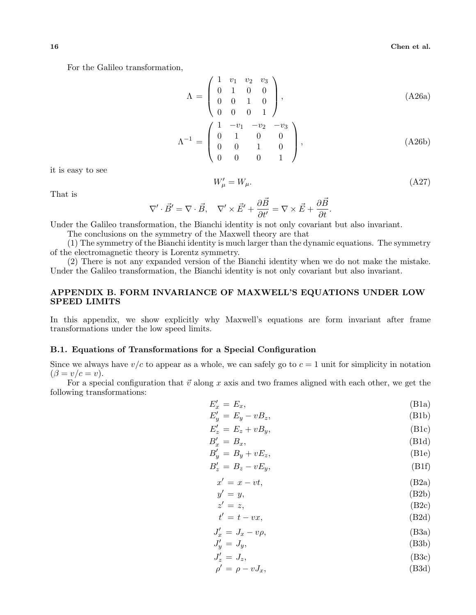For the Galileo transformation,

$$
\Lambda = \begin{pmatrix} 1 & v_1 & v_2 & v_3 \\ 0 & 1 & 0 & 0 \\ 0 & 0 & 1 & 0 \\ 0 & 0 & 0 & 1 \end{pmatrix}, \tag{A26a}
$$

$$
\Lambda^{-1} = \begin{pmatrix} 1 & 0 & 0 \\ 0 & 1 & 0 & 0 \\ 0 & 0 & 1 & 0 \\ 0 & 0 & 0 & 1 \end{pmatrix}, \tag{A26b}
$$

it is easy to see

$$
W'_{\mu} = W_{\mu}.\tag{A27}
$$

That is

$$
\nabla'\cdot\vec{B}'=\nabla\cdot\vec{B},\quad \nabla'\times\vec{E'}+\frac{\partial\vec{B}}{\partial t'}=\nabla\times\vec{E}+\frac{\partial\vec{B}}{\partial t}.
$$

Under the Galileo transformation, the Bianchi identity is not only covariant but also invariant.

The conclusions on the symmetry of the Maxwell theory are that

(1) The symmetry of the Bianchi identity is much larger than the dynamic equations. The symmetry of the electromagnetic theory is Lorentz symmetry.

(2) There is not any expanded version of the Bianchi identity when we do not make the mistake. Under the Galileo transformation, the Bianchi identity is not only covariant but also invariant.

# APPENDIX B. FORM INVARIANCE OF MAXWELL'S EQUATIONS UNDER LOW SPEED LIMITS

In this appendix, we show explicitly why Maxwell's equations are form invariant after frame transformations under the low speed limits.

# B.1. Equations of Transformations for a Special Configuration

Since we always have  $v/c$  to appear as a whole, we can safely go to  $c = 1$  unit for simplicity in notation  $(\beta = v/c = v).$ 

For a special configuration that  $\vec{v}$  along x axis and two frames aligned with each other, we get the following transformations:

$$
E_x' = E_x,\tag{B1a}
$$

$$
E'_y = E_y - vB_z,
$$
\n(B1b)  
\n
$$
E' = E + vB
$$
\n(B1c)

$$
E'_z = E_z + vB_y,\tag{B1c}
$$

$$
B'_x = B_x,\tag{B1d}
$$

$$
B'_y = B_y + vE_z,\tag{B1e}
$$

$$
B_z' = B_z - vE_y,\tag{B1f}
$$

$$
x' = x - vt,
$$
 (B2a)

$$
y' = y,
$$
  
\n
$$
z' = z,
$$
  
\n
$$
(B2b)
$$
  
\n
$$
(B2c)
$$

$$
t' = t - vx,\tag{B2d}
$$

$$
J'_x = J_x - v\rho,
$$
 (B3a)

$$
J'_y = J_y,\tag{B3b}
$$

$$
J'_z = J_z,\tag{B3c}
$$

$$
\rho' = \rho - vJ_x,\tag{B3d}
$$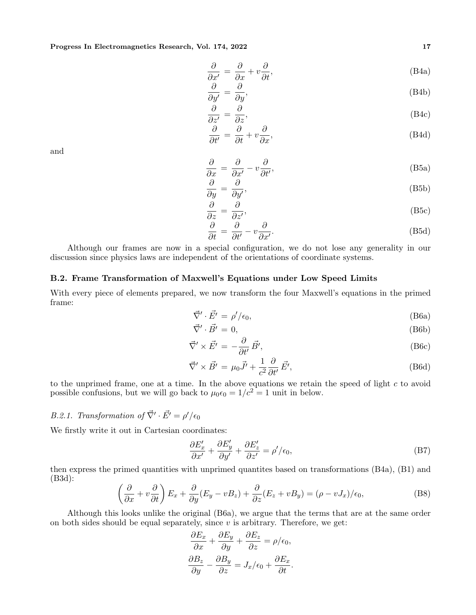$$
\frac{\partial}{\partial x'} = \frac{\partial}{\partial x} + v \frac{\partial}{\partial t},\tag{B4a}
$$

$$
\frac{\partial}{\partial y'} = \frac{\partial}{\partial y'},\tag{B4b}
$$

$$
\frac{\partial}{\partial z'} = \frac{\partial}{\partial z},\tag{B4c}
$$

$$
\frac{\partial}{\partial t'} = \frac{\partial}{\partial t} + v \frac{\partial}{\partial x},\tag{B4d}
$$

$$
\frac{\partial}{\partial x} = \frac{\partial}{\partial x'} - v \frac{\partial}{\partial t'},
$$
 (B5a)

$$
\frac{\partial}{\partial y} = \frac{\partial}{\partial y'},\tag{B5b}
$$

$$
\frac{\partial}{\partial z} = \frac{\partial}{\partial z'},\tag{B5c}
$$

$$
\frac{\partial}{\partial t} = \frac{\partial}{\partial t'} - v \frac{\partial}{\partial x'}.
$$
 (B5d)

Although our frames are now in a special configuration, we do not lose any generality in our discussion since physics laws are independent of the orientations of coordinate systems.

## B.2. Frame Transformation of Maxwell's Equations under Low Speed Limits

With every piece of elements prepared, we now transform the four Maxwell's equations in the primed frame:

$$
\vec{\nabla}' \cdot \vec{E'} = \rho' / \epsilon_0,\tag{B6a}
$$

$$
\vec{\nabla}' \cdot \vec{B'} = 0,\tag{B6b}
$$

$$
\vec{\nabla}' \times \vec{E'} = -\frac{\partial}{\partial t'} \vec{B'}, \tag{B6c}
$$

$$
\vec{\nabla}' \times \vec{B'} = \mu_0 \vec{J'} + \frac{1}{c^2} \frac{\partial}{\partial t'} \vec{E'}, \tag{B6d}
$$

to the unprimed frame, one at a time. In the above equations we retain the speed of light  $c$  to avoid possible confusions, but we will go back to  $\mu_0 \epsilon_0 = 1/c^2 = 1$  unit in below.

# B.2.1. Transformation of  $\vec{\nabla}' \cdot \vec{E'} = \rho' / \epsilon_0$

We firstly write it out in Cartesian coordinates:

$$
\frac{\partial E'_x}{\partial x'} + \frac{\partial E'_y}{\partial y'} + \frac{\partial E'_z}{\partial z'} = \rho'/\epsilon_0,
$$
\n(B7)

then express the primed quantities with unprimed quantites based on transformations (B4a), (B1) and (B3d):  $\overline{a}$ 

$$
\left(\frac{\partial}{\partial x} + v\frac{\partial}{\partial t}\right)E_x + \frac{\partial}{\partial y}(E_y - vB_z) + \frac{\partial}{\partial z}(E_z + vB_y) = (\rho - vJ_x)/\epsilon_0,
$$
\n(B8)

Although this looks unlike the original (B6a), we argue that the terms that are at the same order on both sides should be equal separately, since  $v$  is arbitrary. Therefore, we get:

$$
\frac{\partial E_x}{\partial x} + \frac{\partial E_y}{\partial y} + \frac{\partial E_z}{\partial z} = \rho/\epsilon_0,
$$
  

$$
\frac{\partial B_z}{\partial y} - \frac{\partial B_y}{\partial z} = J_x/\epsilon_0 + \frac{\partial E_x}{\partial t}.
$$

and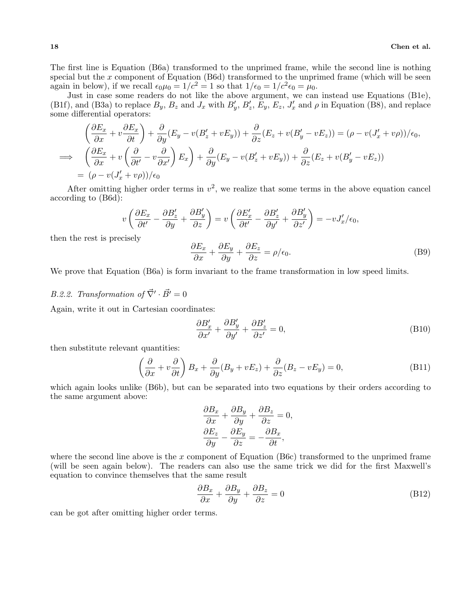The first line is Equation (B6a) transformed to the unprimed frame, while the second line is nothing special but the x component of Equation  $(B6d)$  transformed to the unprimed frame (which will be seen again in below), if we recall  $\epsilon_0 \mu_0 = 1/c^2 = 1$  so that  $1/\epsilon_0 = 1/c^2 \epsilon_0 = \mu_0$ .

Just in case some readers do not like the above argument, we can instead use Equations (B1e), (B1f), and (B3a) to replace  $B_y$ ,  $B_z$  and  $J_x$  with  $B'_y$ ,  $B'_z$ ,  $\bar{E}_y$ ,  $E_z$ ,  $J'_x$  and  $\rho$  in Equation (B8), and replace some differential operators:

$$
\left(\frac{\partial E_x}{\partial x} + v \frac{\partial E_x}{\partial t}\right) + \frac{\partial}{\partial y}(E_y - v(B_z' + vE_y)) + \frac{\partial}{\partial z}(E_z + v(B_y' - vE_z)) = (\rho - v(J_x' + v\rho))/\epsilon_0,
$$
\n
$$
\implies \left(\frac{\partial E_x}{\partial x} + v\left(\frac{\partial}{\partial t'} - v\frac{\partial}{\partial x'}\right)E_x\right) + \frac{\partial}{\partial y}(E_y - v(B_z' + vE_y)) + \frac{\partial}{\partial z}(E_z + v(B_y' - vE_z))
$$
\n
$$
= (\rho - v(J_x' + v\rho))/\epsilon_0
$$

After omitting higher order terms in  $v^2$ , we realize that some terms in the above equation cancel according to (B6d):

$$
v\left(\frac{\partial E_x}{\partial t'} - \frac{\partial B'_z}{\partial y} + \frac{\partial B'_y}{\partial z}\right) = v\left(\frac{\partial E'_x}{\partial t'} - \frac{\partial B'_z}{\partial y'} + \frac{\partial B'_y}{\partial z'}\right) = -vJ'_x/\epsilon_0,
$$

then the rest is precisely

$$
\frac{\partial E_x}{\partial x} + \frac{\partial E_y}{\partial y} + \frac{\partial E_z}{\partial z} = \rho/\epsilon_0.
$$
 (B9)

We prove that Equation (B6a) is form invariant to the frame transformation in low speed limits.

# B.2.2. Transformation of  $\vec{\nabla}' \cdot \vec{B'} = 0$

Again, write it out in Cartesian coordinates:

$$
\frac{\partial B_x'}{\partial x'} + \frac{\partial B_y'}{\partial y'} + \frac{\partial B_z'}{\partial z'} = 0,
$$
\n(B10)

then substitute relevant quantities:

$$
\left(\frac{\partial}{\partial x} + v\frac{\partial}{\partial t}\right)B_x + \frac{\partial}{\partial y}(B_y + vE_z) + \frac{\partial}{\partial z}(B_z - vE_y) = 0,
$$
\n(B11)

which again looks unlike (B6b), but can be separated into two equations by their orders according to the same argument above:

$$
\frac{\partial B_x}{\partial x} + \frac{\partial B_y}{\partial y} + \frac{\partial B_z}{\partial z} = 0,
$$
  

$$
\frac{\partial E_z}{\partial y} - \frac{\partial E_y}{\partial z} = -\frac{\partial B_x}{\partial t},
$$

where the second line above is the x component of Equation (B6c) transformed to the unprimed frame (will be seen again below). The readers can also use the same trick we did for the first Maxwell's equation to convince themselves that the same result

$$
\frac{\partial B_x}{\partial x} + \frac{\partial B_y}{\partial y} + \frac{\partial B_z}{\partial z} = 0
$$
 (B12)

can be got after omitting higher order terms.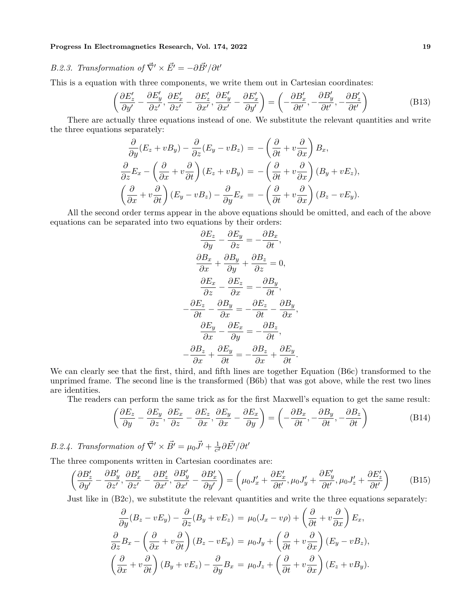# B.2.3. Transformation of  $\vec{\nabla}' \times \vec{E'} = -\partial \vec{B'} / \partial t'$

This is a equation with three components, we write them out in Cartesian coordinates:

$$
\left(\frac{\partial E'_z}{\partial y'} - \frac{\partial E'_y}{\partial z'}, \frac{\partial E'_x}{\partial z'} - \frac{\partial E'_z}{\partial x'}, \frac{\partial E'_y}{\partial x'} - \frac{\partial E'_x}{\partial y'}\right) = \left(-\frac{\partial B'_x}{\partial t'}, -\frac{\partial B'_y}{\partial t'}, -\frac{\partial B'_z}{\partial t'}\right)
$$
(B13)

There are actually three equations instead of one. We substitute the relevant quantities and write the three equations separately:  $\overline{a}$ 

$$
\frac{\partial}{\partial y}(E_z + vB_y) - \frac{\partial}{\partial z}(E_y - vB_z) = -\left(\frac{\partial}{\partial t} + v\frac{\partial}{\partial x}\right)B_x,
$$
\n
$$
\frac{\partial}{\partial z}E_x - \left(\frac{\partial}{\partial x} + v\frac{\partial}{\partial t}\right)(E_z + vB_y) = -\left(\frac{\partial}{\partial t} + v\frac{\partial}{\partial x}\right)(B_y + vE_z),
$$
\n
$$
\left(\frac{\partial}{\partial x} + v\frac{\partial}{\partial t}\right)(E_y - vB_z) - \frac{\partial}{\partial y}E_x = -\left(\frac{\partial}{\partial t} + v\frac{\partial}{\partial x}\right)(B_z - vE_y).
$$

All the second order terms appear in the above equations should be omitted, and each of the above equations can be separated into two equations by their orders:

$$
\frac{\partial E_z}{\partial y} - \frac{\partial E_y}{\partial z} = -\frac{\partial B_x}{\partial t},
$$

$$
\frac{\partial B_x}{\partial x} + \frac{\partial B_y}{\partial y} + \frac{\partial B_z}{\partial z} = 0,
$$

$$
\frac{\partial E_x}{\partial z} - \frac{\partial E_z}{\partial x} = -\frac{\partial B_y}{\partial t},
$$

$$
-\frac{\partial E_z}{\partial t} - \frac{\partial B_y}{\partial x} = -\frac{\partial E_z}{\partial t} - \frac{\partial B_y}{\partial x},
$$

$$
\frac{\partial E_y}{\partial x} - \frac{\partial E_x}{\partial y} = -\frac{\partial B_z}{\partial t},
$$

$$
-\frac{\partial B_z}{\partial x} + \frac{\partial E_y}{\partial t} = -\frac{\partial B_z}{\partial x} + \frac{\partial E_y}{\partial t}.
$$

We can clearly see that the first, third, and fifth lines are together Equation (B6c) transformed to the unprimed frame. The second line is the transformed (B6b) that was got above, while the rest two lines are identities.

The readers can perform the same trick as for the first Maxwell's equation to get the same result:

$$
\left(\frac{\partial E_z}{\partial y} - \frac{\partial E_y}{\partial z}, \frac{\partial E_x}{\partial z} - \frac{\partial E_z}{\partial x}, \frac{\partial E_y}{\partial x} - \frac{\partial E_x}{\partial y}\right) = \left(-\frac{\partial B_x}{\partial t}, -\frac{\partial B_y}{\partial t}, -\frac{\partial B_z}{\partial t}\right)
$$
(B14)

B.2.4. Transformation of  $\vec{\nabla}' \times \vec{B'} = \mu_0 \vec{J'} + \frac{1}{c^2}$  $\frac{1}{c^2}\partial\vec{E'}/\partial t'$ 

The three components written in Cartesian coordinates are:

$$
\left(\frac{\partial B'_z}{\partial y'} - \frac{\partial B'_y}{\partial z'}, \frac{\partial B'_x}{\partial z'} - \frac{\partial B'_z}{\partial x'}, \frac{\partial B'_y}{\partial x'} - \frac{\partial B'_x}{\partial y'}\right) = \left(\mu_0 J'_x + \frac{\partial E'_x}{\partial t'}, \mu_0 J'_y + \frac{\partial E'_y}{\partial t'}, \mu_0 J'_z + \frac{\partial E'_z}{\partial t'}\right) (B15)
$$

Just like in (B2c), we substitute the relevant quantities and write the three equations separately:

$$
\frac{\partial}{\partial y}(B_z - vE_y) - \frac{\partial}{\partial z}(B_y + vE_z) = \mu_0(J_x - v\rho) + \left(\frac{\partial}{\partial t} + v\frac{\partial}{\partial x}\right)E_x,
$$
  

$$
\frac{\partial}{\partial z}B_x - \left(\frac{\partial}{\partial x} + v\frac{\partial}{\partial t}\right)(B_z - vE_y) = \mu_0J_y + \left(\frac{\partial}{\partial t} + v\frac{\partial}{\partial x}\right)(E_y - vB_z),
$$
  

$$
\left(\frac{\partial}{\partial x} + v\frac{\partial}{\partial t}\right)(B_y + vE_z) - \frac{\partial}{\partial y}B_x = \mu_0J_z + \left(\frac{\partial}{\partial t} + v\frac{\partial}{\partial x}\right)(E_z + vB_y).
$$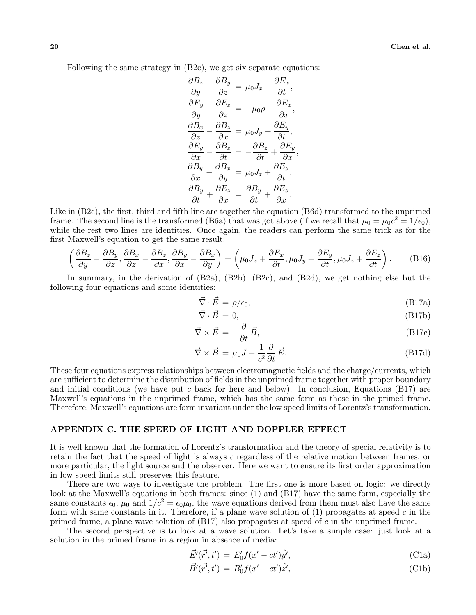Following the same strategy in (B2c), we get six separate equations:

$$
\frac{\partial B_z}{\partial y} - \frac{\partial B_y}{\partial z} = \mu_0 J_x + \frac{\partial E_x}{\partial t},
$$
  

$$
\frac{\partial E_y}{\partial y} - \frac{\partial E_z}{\partial z} = -\mu_0 \rho + \frac{\partial E_x}{\partial x},
$$
  

$$
\frac{\partial B_x}{\partial z} - \frac{\partial B_z}{\partial x} = \mu_0 J_y + \frac{\partial E_y}{\partial t},
$$
  

$$
\frac{\partial E_y}{\partial x} - \frac{\partial B_z}{\partial t} = -\frac{\partial B_z}{\partial t} + \frac{\partial E_y}{\partial x},
$$
  

$$
\frac{\partial B_y}{\partial x} - \frac{\partial B_x}{\partial y} = \mu_0 J_z + \frac{\partial E_z}{\partial t},
$$
  

$$
\frac{\partial B_y}{\partial t} + \frac{\partial E_z}{\partial x} = \frac{\partial B_y}{\partial t} + \frac{\partial E_z}{\partial x}.
$$

Like in (B2c), the first, third and fifth line are together the equation (B6d) transformed to the unprimed frame. The second line is the transformed (B6a) that was got above (if we recall that  $\mu_0 = \mu_0 c^2 = 1/\epsilon_0$ ), while the rest two lines are identities. Once again, the readers can perform the same trick as for the first Maxwell's equation to get the same result:  $\overline{a}$ 

$$
\left(\frac{\partial B_z}{\partial y} - \frac{\partial B_y}{\partial z}, \frac{\partial B_x}{\partial z} - \frac{\partial B_z}{\partial x}, \frac{\partial B_y}{\partial x} - \frac{\partial B_x}{\partial y}\right) = \left(\mu_0 J_x + \frac{\partial E_x}{\partial t}, \mu_0 J_y + \frac{\partial E_y}{\partial t}, \mu_0 J_z + \frac{\partial E_z}{\partial t}\right). \tag{B16}
$$

In summary, in the derivation of (B2a), (B2b), (B2c), and (B2d), we get nothing else but the following four equations and some identities:

$$
\vec{\nabla} \cdot \vec{E} = \rho/\epsilon_0,\tag{B17a}
$$

$$
\vec{\nabla} \cdot \vec{B} = 0,\tag{B17b}
$$

$$
\vec{\nabla} \times \vec{E} = -\frac{\partial}{\partial t} \vec{B},\tag{B17c}
$$

$$
\vec{\nabla} \times \vec{B} = \mu_0 \vec{J} + \frac{1}{c^2} \frac{\partial}{\partial t} \vec{E}.
$$
 (B17d)

These four equations express relationships between electromagnetic fields and the charge/currents, which are sufficient to determine the distribution of fields in the unprimed frame together with proper boundary and initial conditions (we have put c back for here and below). In conclusion, Equations (B17) are Maxwell's equations in the unprimed frame, which has the same form as those in the primed frame. Therefore, Maxwell's equations are form invariant under the low speed limits of Lorentz's transformation.

### APPENDIX C. THE SPEED OF LIGHT AND DOPPLER EFFECT

It is well known that the formation of Lorentz's transformation and the theory of special relativity is to retain the fact that the speed of light is always c regardless of the relative motion between frames, or more particular, the light source and the observer. Here we want to ensure its first order approximation in low speed limits still preserves this feature.

There are two ways to investigate the problem. The first one is more based on logic: we directly look at the Maxwell's equations in both frames: since (1) and (B17) have the same form, especially the same constants  $\epsilon_0$ ,  $\mu_0$  and  $1/c^2 = \epsilon_0 \mu_0$ , the wave equations derived from them must also have the same form with same constants in it. Therefore, if a plane wave solution of  $(1)$  propagates at speed c in the primed frame, a plane wave solution of  $(B17)$  also propagates at speed of c in the unprimed frame.

The second perspective is to look at a wave solution. Let's take a simple case: just look at a solution in the primed frame in a region in absence of media:

$$
\vec{E'}(\vec{r'},t') = E'_0 f(x'-ct')\hat{y'},\tag{C1a}
$$

$$
\vec{B'}(\vec{r'},t') = B'_0 f(x'-ct')\hat{z'},\tag{C1b}
$$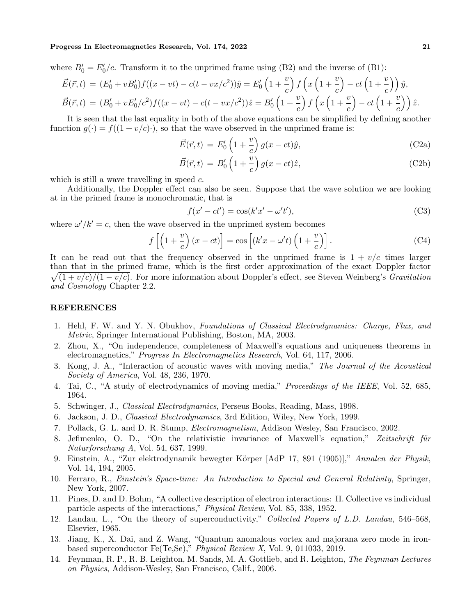where  $B'_0 = E'_0/c$ . Transform it to the unprimed frame using (B2) and the inverse of (B1):

$$
\vec{E}(\vec{r},t) = (E'_0 + vB'_0)f((x - vt) - c(t - vx/c^2))\hat{y} = E'_0\left(1 + \frac{v}{c}\right)f\left(x\left(1 + \frac{v}{c}\right) - ct\left(1 + \frac{v}{c}\right)\right)\hat{y},
$$
\n
$$
\vec{B}(\vec{r},t) = (B'_0 + vE'_0/c^2)f((x - vt) - c(t - vx/c^2))\hat{z} = B'_0\left(1 + \frac{v}{c}\right)f\left(x\left(1 + \frac{v}{c}\right) - ct\left(1 + \frac{v}{c}\right)\right)\hat{z}.
$$

It is seen that the last equality in both of the above equations can be simplified by defining another function  $g(\cdot) = f((1 + v/c) \cdot)$ , so that the wave observed in the unprimed frame is:

$$
\vec{E}(\vec{r},t) = E'_0 \left( 1 + \frac{v}{c} \right) g(x - ct)\hat{y},\tag{C2a}
$$

$$
\vec{B}(\vec{r},t) = B_0' \left(1 + \frac{v}{c}\right) g(x - ct)\hat{z},\tag{C2b}
$$

which is still a wave travelling in speed  $c$ .

Additionally, the Doppler effect can also be seen. Suppose that the wave solution we are looking at in the primed frame is monochromatic, that is

$$
f(x'-ct') = \cos(k'x'-\omega't'),\tag{C3}
$$

where  $\omega'/k' = c$ , then the wave observed in the unprimed system becomes

$$
f\left[\left(1+\frac{v}{c}\right)(x-ct)\right] = \cos\left[\left(k'x-\omega't\right)\left(1+\frac{v}{c}\right)\right].
$$
 (C4)

It can be read out that the frequency observed in the unprimed frame is  $1 + v/c$  times larger than that in the primed frame, which is the first order approximation of the exact Doppler factor  $\sqrt{(1 + v/c)/(1 - v/c)}$ . For more information about Doppler's effect, see Steven Weinberg's *Gravitation* and Cosmology Chapter 2.2.

# REFERENCES

- 1. Hehl, F. W. and Y. N. Obukhov, Foundations of Classical Electrodynamics: Charge, Flux, and Metric, Springer International Publishing, Boston, MA, 2003.
- 2. Zhou, X., "On independence, completeness of Maxwell's equations and uniqueness theorems in electromagnetics," Progress In Electromagnetics Research, Vol. 64, 117, 2006.
- 3. Kong, J. A., "Interaction of acoustic waves with moving media," The Journal of the Acoustical Society of America, Vol. 48, 236, 1970.
- 4. Tai, C., "A study of electrodynamics of moving media," Proceedings of the IEEE, Vol. 52, 685, 1964.
- 5. Schwinger, J., Classical Electrodynamics, Perseus Books, Reading, Mass, 1998.
- 6. Jackson, J. D., Classical Electrodynamics, 3rd Edition, Wiley, New York, 1999.
- 7. Pollack, G. L. and D. R. Stump, Electromagnetism, Addison Wesley, San Francisco, 2002.
- 8. Jefimenko, O. D., "On the relativistic invariance of Maxwell's equation," Zeitschrift für Naturforschung A, Vol. 54, 637, 1999.
- 9. Einstein, A., "Zur elektrodynamik bewegter Körper [AdP 17, 891 (1905)]," Annalen der Physik, Vol. 14, 194, 2005.
- 10. Ferraro, R., Einstein's Space-time: An Introduction to Special and General Relativity, Springer, New York, 2007.
- 11. Pines, D. and D. Bohm, "A collective description of electron interactions: II. Collective vs individual particle aspects of the interactions," Physical Review, Vol. 85, 338, 1952.
- 12. Landau, L., "On the theory of superconductivity," Collected Papers of L.D. Landau, 546–568, Elsevier, 1965.
- 13. Jiang, K., X. Dai, and Z. Wang, "Quantum anomalous vortex and majorana zero mode in ironbased superconductor Fe(Te,Se)," Physical Review X, Vol. 9, 011033, 2019.
- 14. Feynman, R. P., R. B. Leighton, M. Sands, M. A. Gottlieb, and R. Leighton, The Feynman Lectures on Physics, Addison-Wesley, San Francisco, Calif., 2006.